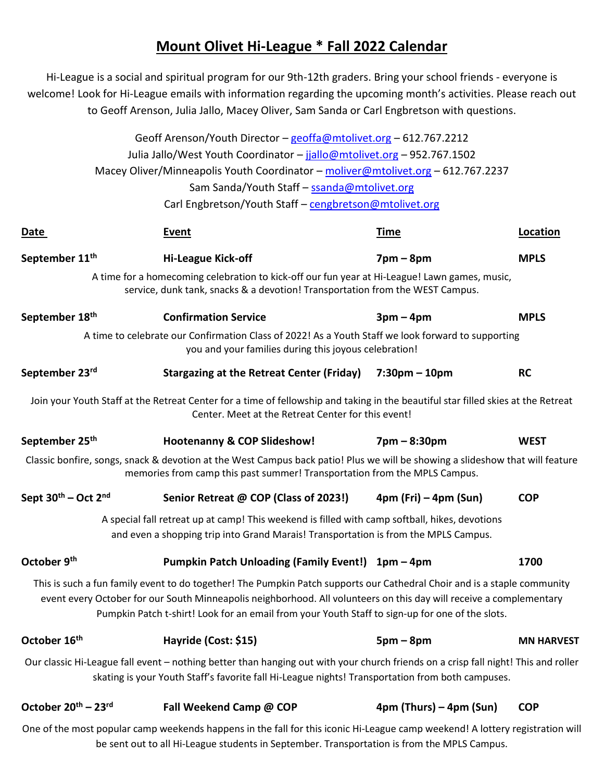## **Mount Olivet Hi-League \* Fall 2022 Calendar**

Hi-League is a social and spiritual program for our 9th-12th graders. Bring your school friends - everyone is welcome! Look for Hi-League emails with information regarding the upcoming month's activities. Please reach out to Geoff Arenson, Julia Jallo, Macey Oliver, Sam Sanda or Carl Engbretson with questions.

|                                             | Geoff Arenson/Youth Director - geoffa@mtolivet.org - 612.767.2212<br>Julia Jallo/West Youth Coordinator - jjallo@mtolivet.org - 952.767.1502                                                                                                                                                                                                       |                                 |                   |
|---------------------------------------------|----------------------------------------------------------------------------------------------------------------------------------------------------------------------------------------------------------------------------------------------------------------------------------------------------------------------------------------------------|---------------------------------|-------------------|
|                                             | Macey Oliver/Minneapolis Youth Coordinator - moliver@mtolivet.org - 612.767.2237                                                                                                                                                                                                                                                                   |                                 |                   |
|                                             | Sam Sanda/Youth Staff - ssanda@mtolivet.org                                                                                                                                                                                                                                                                                                        |                                 |                   |
|                                             | Carl Engbretson/Youth Staff - cengbretson@mtolivet.org                                                                                                                                                                                                                                                                                             |                                 |                   |
|                                             |                                                                                                                                                                                                                                                                                                                                                    |                                 |                   |
| Date                                        | <b>Event</b>                                                                                                                                                                                                                                                                                                                                       | <u>Time</u>                     | Location          |
| September 11 <sup>th</sup>                  | <b>Hi-League Kick-off</b>                                                                                                                                                                                                                                                                                                                          | $7 \text{pm} - 8 \text{pm}$     | <b>MPLS</b>       |
|                                             | A time for a homecoming celebration to kick-off our fun year at Hi-League! Lawn games, music,<br>service, dunk tank, snacks & a devotion! Transportation from the WEST Campus.                                                                                                                                                                     |                                 |                   |
| September 18 <sup>th</sup>                  | <b>Confirmation Service</b>                                                                                                                                                                                                                                                                                                                        | $3pm-4pm$                       | <b>MPLS</b>       |
|                                             | A time to celebrate our Confirmation Class of 2022! As a Youth Staff we look forward to supporting<br>you and your families during this joyous celebration!                                                                                                                                                                                        |                                 |                   |
| September 23 <sup>rd</sup>                  | <b>Stargazing at the Retreat Center (Friday)</b>                                                                                                                                                                                                                                                                                                   | $7:30 \text{pm} - 10 \text{pm}$ | <b>RC</b>         |
|                                             | Join your Youth Staff at the Retreat Center for a time of fellowship and taking in the beautiful star filled skies at the Retreat<br>Center. Meet at the Retreat Center for this event!                                                                                                                                                            |                                 |                   |
| September 25 <sup>th</sup>                  | <b>Hootenanny &amp; COP Slideshow!</b>                                                                                                                                                                                                                                                                                                             | $7$ pm $-8:30$ pm               | <b>WEST</b>       |
|                                             | Classic bonfire, songs, snack & devotion at the West Campus back patio! Plus we will be showing a slideshow that will feature<br>memories from camp this past summer! Transportation from the MPLS Campus.                                                                                                                                         |                                 |                   |
| Sept 30 <sup>th</sup> – Oct 2 <sup>nd</sup> | Senior Retreat @ COP (Class of 2023!)                                                                                                                                                                                                                                                                                                              | $4pm$ (Fri) – $4pm$ (Sun)       | <b>COP</b>        |
|                                             | A special fall retreat up at camp! This weekend is filled with camp softball, hikes, devotions<br>and even a shopping trip into Grand Marais! Transportation is from the MPLS Campus.                                                                                                                                                              |                                 |                   |
| October 9 <sup>th</sup>                     | Pumpkin Patch Unloading (Family Event!) 1pm - 4pm                                                                                                                                                                                                                                                                                                  |                                 | 1700              |
|                                             | This is such a fun family event to do together! The Pumpkin Patch supports our Cathedral Choir and is a staple community<br>event every October for our South Minneapolis neighborhood. All volunteers on this day will receive a complementary<br>Pumpkin Patch t-shirt! Look for an email from your Youth Staff to sign-up for one of the slots. |                                 |                   |
| October 16 <sup>th</sup>                    | Hayride (Cost: \$15)                                                                                                                                                                                                                                                                                                                               | $5pm-8pm$                       | <b>MN HARVEST</b> |
|                                             | Our classic Hi-League fall event - nothing better than hanging out with your church friends on a crisp fall night! This and roller<br>skating is your Youth Staff's favorite fall Hi-League nights! Transportation from both campuses.                                                                                                             |                                 |                   |
| October 20 <sup>th</sup> – 23 <sup>rd</sup> | Fall Weekend Camp @ COP                                                                                                                                                                                                                                                                                                                            | $4pm$ (Thurs) – $4pm$ (Sun)     | <b>COP</b>        |
|                                             |                                                                                                                                                                                                                                                                                                                                                    |                                 |                   |

One of the most popular camp weekends happens in the fall for this iconic Hi-League camp weekend! A lottery registration will be sent out to all Hi-League students in September. Transportation is from the MPLS Campus.